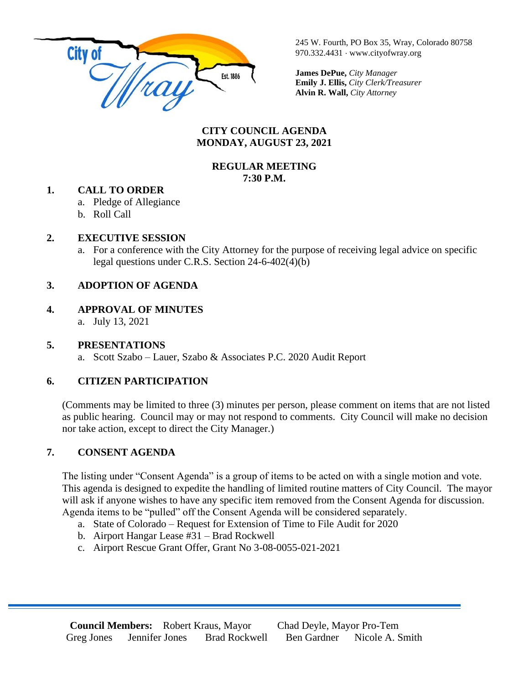

245 W. Fourth, PO Box 35, Wray, Colorado 80758 970.332.4431 www.cityofwray.org

**James DePue,** *City Manager* **Emily J. Ellis,** *City Clerk/Treasurer* **Alvin R. Wall,** *City Attorney*

#### **CITY COUNCIL AGENDA MONDAY, AUGUST 23, 2021**

### **REGULAR MEETING 7:30 P.M.**

### **1. CALL TO ORDER**

- a. Pledge of Allegiance
- b. Roll Call

## **2. EXECUTIVE SESSION**

a. For a conference with the City Attorney for the purpose of receiving legal advice on specific legal questions under C.R.S. Section 24-6-402(4)(b)

# **3. ADOPTION OF AGENDA**

# **4. APPROVAL OF MINUTES**

a. July 13, 2021

### **5. PRESENTATIONS**

a. Scott Szabo – Lauer, Szabo & Associates P.C. 2020 Audit Report

# **6. CITIZEN PARTICIPATION**

(Comments may be limited to three (3) minutes per person, please comment on items that are not listed as public hearing. Council may or may not respond to comments. City Council will make no decision nor take action, except to direct the City Manager.)

# **7. CONSENT AGENDA**

The listing under "Consent Agenda" is a group of items to be acted on with a single motion and vote. This agenda is designed to expedite the handling of limited routine matters of City Council. The mayor will ask if anyone wishes to have any specific item removed from the Consent Agenda for discussion. Agenda items to be "pulled" off the Consent Agenda will be considered separately.

a. State of Colorado – Request for Extension of Time to File Audit for 2020

- b. Airport Hangar Lease #31 Brad Rockwell
- c. Airport Rescue Grant Offer, Grant No 3-08-0055-021-2021